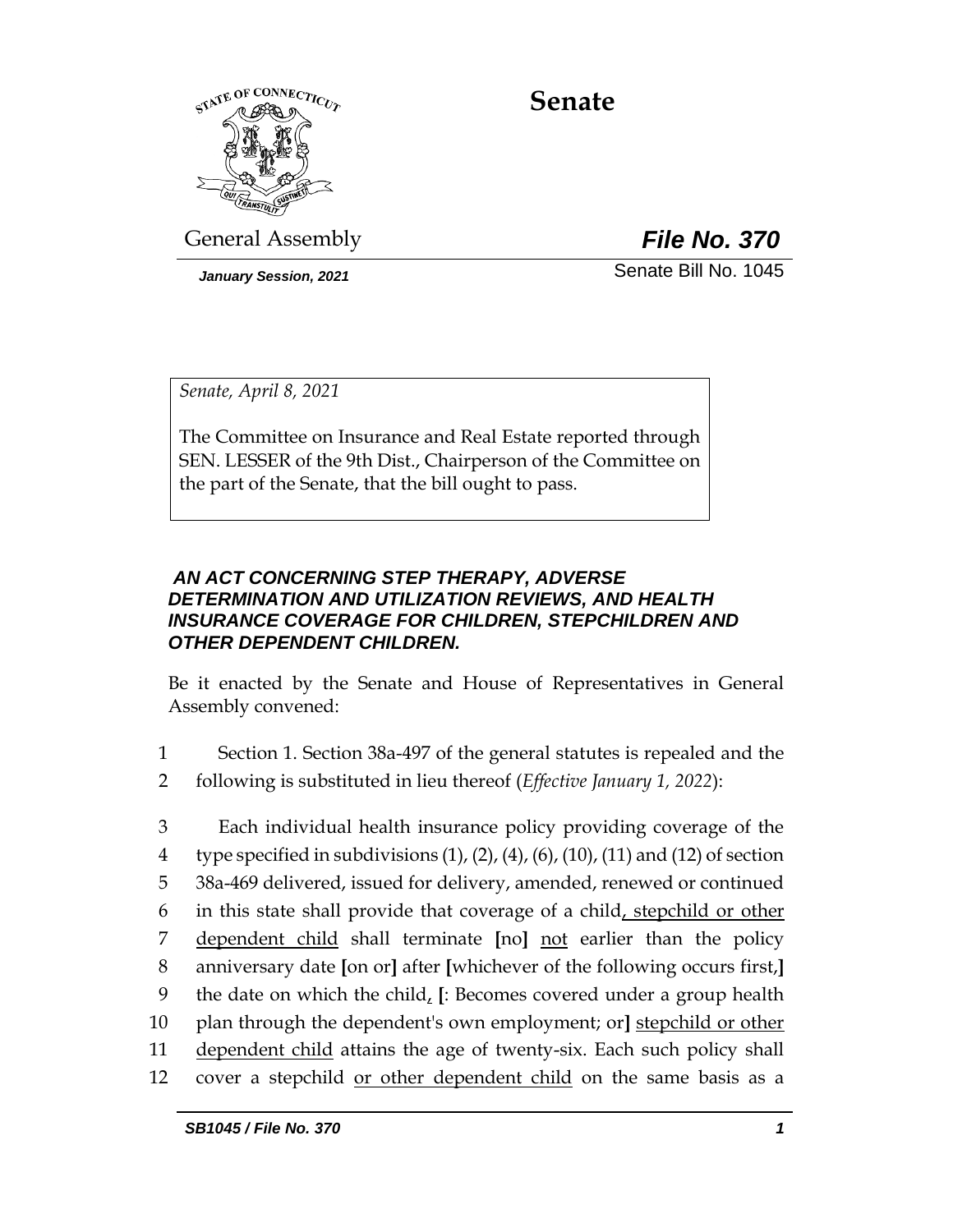

# **Senate**

General Assembly *File No. 370*

*January Session, 2021* Senate Bill No. 1045

*Senate, April 8, 2021*

The Committee on Insurance and Real Estate reported through SEN. LESSER of the 9th Dist., Chairperson of the Committee on the part of the Senate, that the bill ought to pass.

### *AN ACT CONCERNING STEP THERAPY, ADVERSE DETERMINATION AND UTILIZATION REVIEWS, AND HEALTH INSURANCE COVERAGE FOR CHILDREN, STEPCHILDREN AND OTHER DEPENDENT CHILDREN.*

Be it enacted by the Senate and House of Representatives in General Assembly convened:

- 1 Section 1. Section 38a-497 of the general statutes is repealed and the 2 following is substituted in lieu thereof (*Effective January 1, 2022*):
- 3 Each individual health insurance policy providing coverage of the 4 type specified in subdivisions  $(1)$ ,  $(2)$ ,  $(4)$ ,  $(6)$ ,  $(10)$ ,  $(11)$  and  $(12)$  of section 5 38a-469 delivered, issued for delivery, amended, renewed or continued 6 in this state shall provide that coverage of a child, stepchild or other 7 dependent child shall terminate **[**no**]** not earlier than the policy 8 anniversary date **[**on or**]** after **[**whichever of the following occurs first,**]** 9 the date on which the child, **[**: Becomes covered under a group health 10 plan through the dependent's own employment; or**]** stepchild or other 11 dependent child attains the age of twenty-six. Each such policy shall 12 cover a stepchild or other dependent child on the same basis as a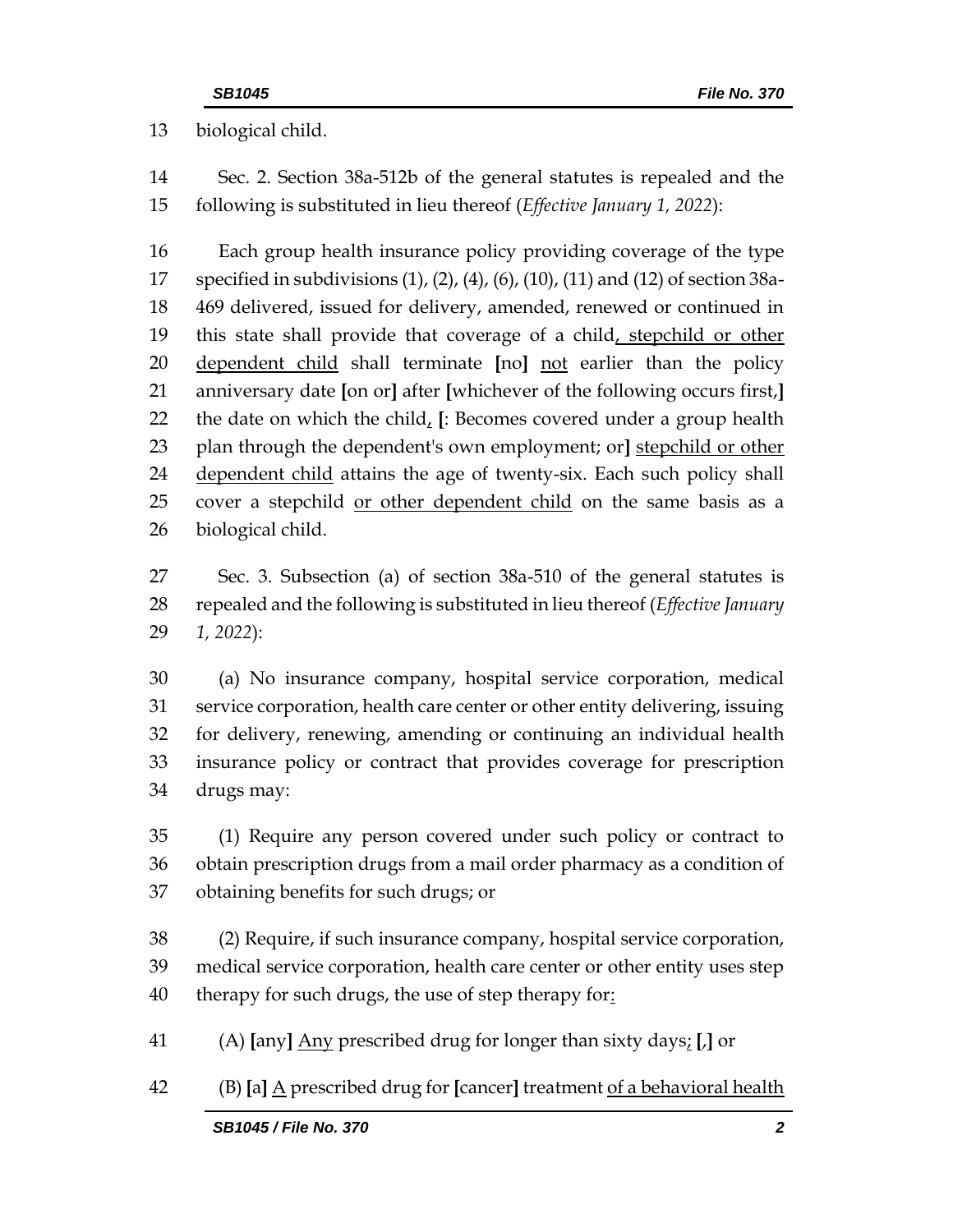biological child.

 Sec. 2. Section 38a-512b of the general statutes is repealed and the following is substituted in lieu thereof (*Effective January 1, 2022*):

 Each group health insurance policy providing coverage of the type specified in subdivisions (1), (2), (4), (6), (10), (11) and (12) of section 38a- 469 delivered, issued for delivery, amended, renewed or continued in 19 this state shall provide that coverage of a child, stepchild or other dependent child shall terminate **[**no**]** not earlier than the policy anniversary date **[**on or**]** after **[**whichever of the following occurs first,**]** the date on which the child, **[**: Becomes covered under a group health plan through the dependent's own employment; or**]** stepchild or other 24 dependent child attains the age of twenty-six. Each such policy shall 25 cover a stepchild or other dependent child on the same basis as a biological child.

 Sec. 3. Subsection (a) of section 38a-510 of the general statutes is repealed and the following is substituted in lieu thereof (*Effective January 1, 2022*):

 (a) No insurance company, hospital service corporation, medical service corporation, health care center or other entity delivering, issuing for delivery, renewing, amending or continuing an individual health insurance policy or contract that provides coverage for prescription drugs may:

 (1) Require any person covered under such policy or contract to obtain prescription drugs from a mail order pharmacy as a condition of obtaining benefits for such drugs; or

 (2) Require, if such insurance company, hospital service corporation, medical service corporation, health care center or other entity uses step 40 therapy for such drugs, the use of step therapy for:

(A) **[**any**]** Any prescribed drug for longer than sixty days; **[**,**]** or

(B) **[**a**]** A prescribed drug for **[**cancer**]** treatment of a behavioral health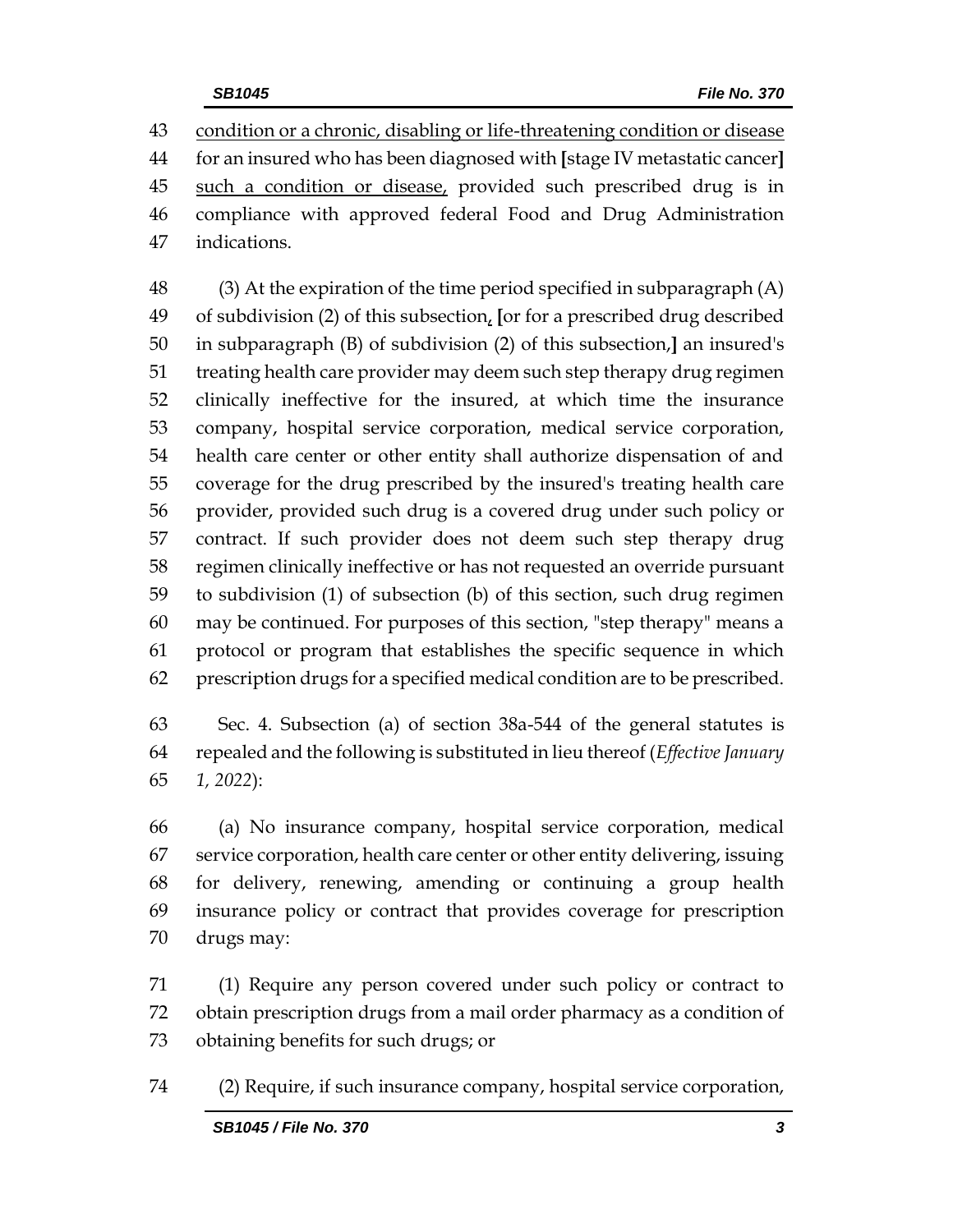condition or a chronic, disabling or life-threatening condition or disease for an insured who has been diagnosed with **[**stage IV metastatic cancer**]** 45 such a condition or disease, provided such prescribed drug is in compliance with approved federal Food and Drug Administration indications.

 (3) At the expiration of the time period specified in subparagraph (A) of subdivision (2) of this subsection, **[**or for a prescribed drug described in subparagraph (B) of subdivision (2) of this subsection,**]** an insured's treating health care provider may deem such step therapy drug regimen clinically ineffective for the insured, at which time the insurance company, hospital service corporation, medical service corporation, health care center or other entity shall authorize dispensation of and coverage for the drug prescribed by the insured's treating health care provider, provided such drug is a covered drug under such policy or contract. If such provider does not deem such step therapy drug regimen clinically ineffective or has not requested an override pursuant to subdivision (1) of subsection (b) of this section, such drug regimen may be continued. For purposes of this section, "step therapy" means a protocol or program that establishes the specific sequence in which prescription drugs for a specified medical condition are to be prescribed.

 Sec. 4. Subsection (a) of section 38a-544 of the general statutes is repealed and the following is substituted in lieu thereof (*Effective January 1, 2022*):

 (a) No insurance company, hospital service corporation, medical service corporation, health care center or other entity delivering, issuing for delivery, renewing, amending or continuing a group health insurance policy or contract that provides coverage for prescription drugs may:

 (1) Require any person covered under such policy or contract to obtain prescription drugs from a mail order pharmacy as a condition of obtaining benefits for such drugs; or

(2) Require, if such insurance company, hospital service corporation,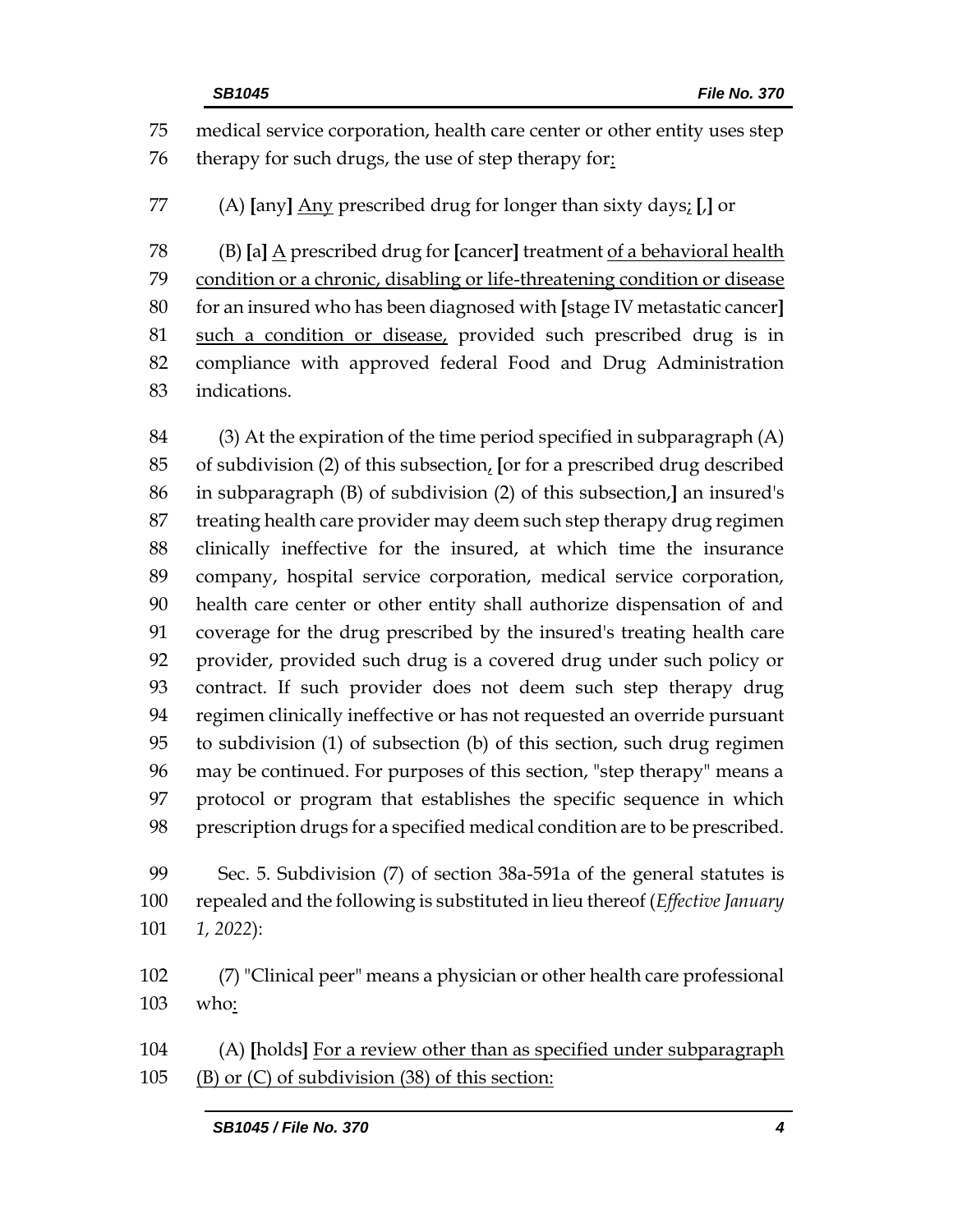medical service corporation, health care center or other entity uses step therapy for such drugs, the use of step therapy for: (A) **[**any**]** Any prescribed drug for longer than sixty days; **[**,**]** or (B) **[**a**]** A prescribed drug for **[**cancer**]** treatment of a behavioral health condition or a chronic, disabling or life-threatening condition or disease for an insured who has been diagnosed with **[**stage IV metastatic cancer**]** such a condition or disease, provided such prescribed drug is in compliance with approved federal Food and Drug Administration indications.

 (3) At the expiration of the time period specified in subparagraph (A) of subdivision (2) of this subsection, **[**or for a prescribed drug described in subparagraph (B) of subdivision (2) of this subsection,**]** an insured's treating health care provider may deem such step therapy drug regimen clinically ineffective for the insured, at which time the insurance company, hospital service corporation, medical service corporation, health care center or other entity shall authorize dispensation of and coverage for the drug prescribed by the insured's treating health care provider, provided such drug is a covered drug under such policy or contract. If such provider does not deem such step therapy drug regimen clinically ineffective or has not requested an override pursuant to subdivision (1) of subsection (b) of this section, such drug regimen may be continued. For purposes of this section, "step therapy" means a protocol or program that establishes the specific sequence in which prescription drugs for a specified medical condition are to be prescribed.

 Sec. 5. Subdivision (7) of section 38a-591a of the general statutes is repealed and the following is substituted in lieu thereof (*Effective January 1, 2022*):

 (7) "Clinical peer" means a physician or other health care professional who:

 (A) **[**holds**]** For a review other than as specified under subparagraph (B) or (C) of subdivision (38) of this section: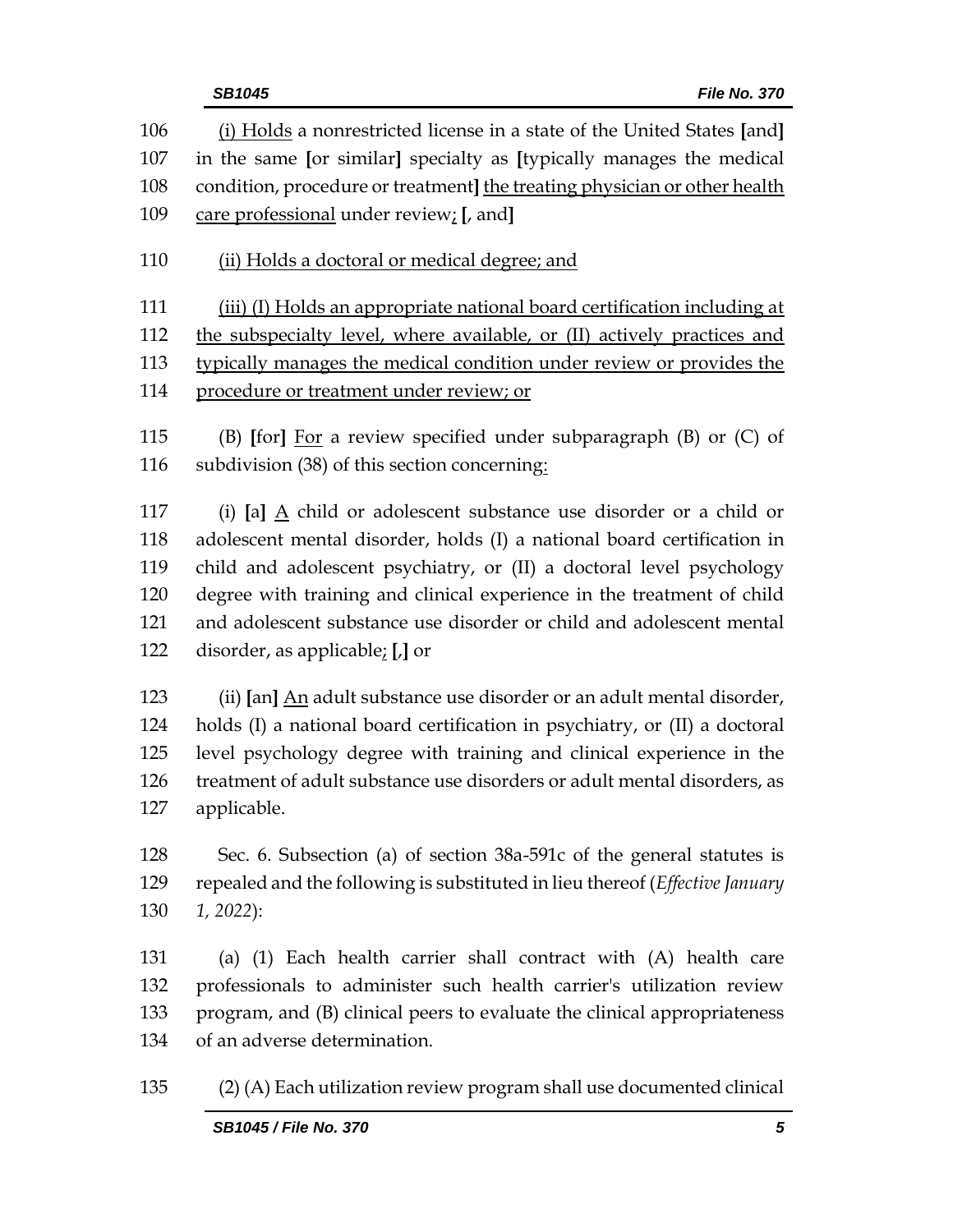| 106<br>107<br>108 | (i) Holds a nonrestricted license in a state of the United States [and]<br>in the same [or similar] specialty as [typically manages the medical<br>condition, procedure or treatment] the treating physician or other health |
|-------------------|------------------------------------------------------------------------------------------------------------------------------------------------------------------------------------------------------------------------------|
| 109               | care professional under review; [, and]                                                                                                                                                                                      |
| 110               | (ii) Holds a doctoral or medical degree; and                                                                                                                                                                                 |
| 111               | (iii) (I) Holds an appropriate national board certification including at                                                                                                                                                     |
| 112               | the subspecialty level, where available, or (II) actively practices and                                                                                                                                                      |
| 113               | typically manages the medical condition under review or provides the                                                                                                                                                         |
| 114               | procedure or treatment under review; or                                                                                                                                                                                      |
| 115               | (B) [for] $\underline{For}$ a review specified under subparagraph (B) or $(C)$ of                                                                                                                                            |
| 116               | subdivision (38) of this section concerning:                                                                                                                                                                                 |
| 117               | (i) [a] A child or adolescent substance use disorder or a child or                                                                                                                                                           |
| 118               | adolescent mental disorder, holds (I) a national board certification in                                                                                                                                                      |
| 119               | child and adolescent psychiatry, or (II) a doctoral level psychology                                                                                                                                                         |
| 120               | degree with training and clinical experience in the treatment of child                                                                                                                                                       |
| 121               | and adolescent substance use disorder or child and adolescent mental                                                                                                                                                         |
| 122               | disorder, as applicable; $[]$ or                                                                                                                                                                                             |
| 123               | (ii) [an] An adult substance use disorder or an adult mental disorder,                                                                                                                                                       |
| 124               | holds (I) a national board certification in psychiatry, or (II) a doctoral                                                                                                                                                   |
| 125               | level psychology degree with training and clinical experience in the                                                                                                                                                         |
| 126               | treatment of adult substance use disorders or adult mental disorders, as                                                                                                                                                     |
| 127               | applicable.                                                                                                                                                                                                                  |
| 128               | Sec. 6. Subsection (a) of section 38a-591c of the general statutes is                                                                                                                                                        |
| 129               | repealed and the following is substituted in lieu thereof (Effective January                                                                                                                                                 |
| 130               | $1, 2022$ :                                                                                                                                                                                                                  |
| 131               | (a) (1) Each health carrier shall contract with (A) health care                                                                                                                                                              |
| 132               | professionals to administer such health carrier's utilization review                                                                                                                                                         |
| 133               | program, and (B) clinical peers to evaluate the clinical appropriateness                                                                                                                                                     |
| 134               | of an adverse determination.                                                                                                                                                                                                 |
| 135               | (2) (A) Each utilization review program shall use documented clinical                                                                                                                                                        |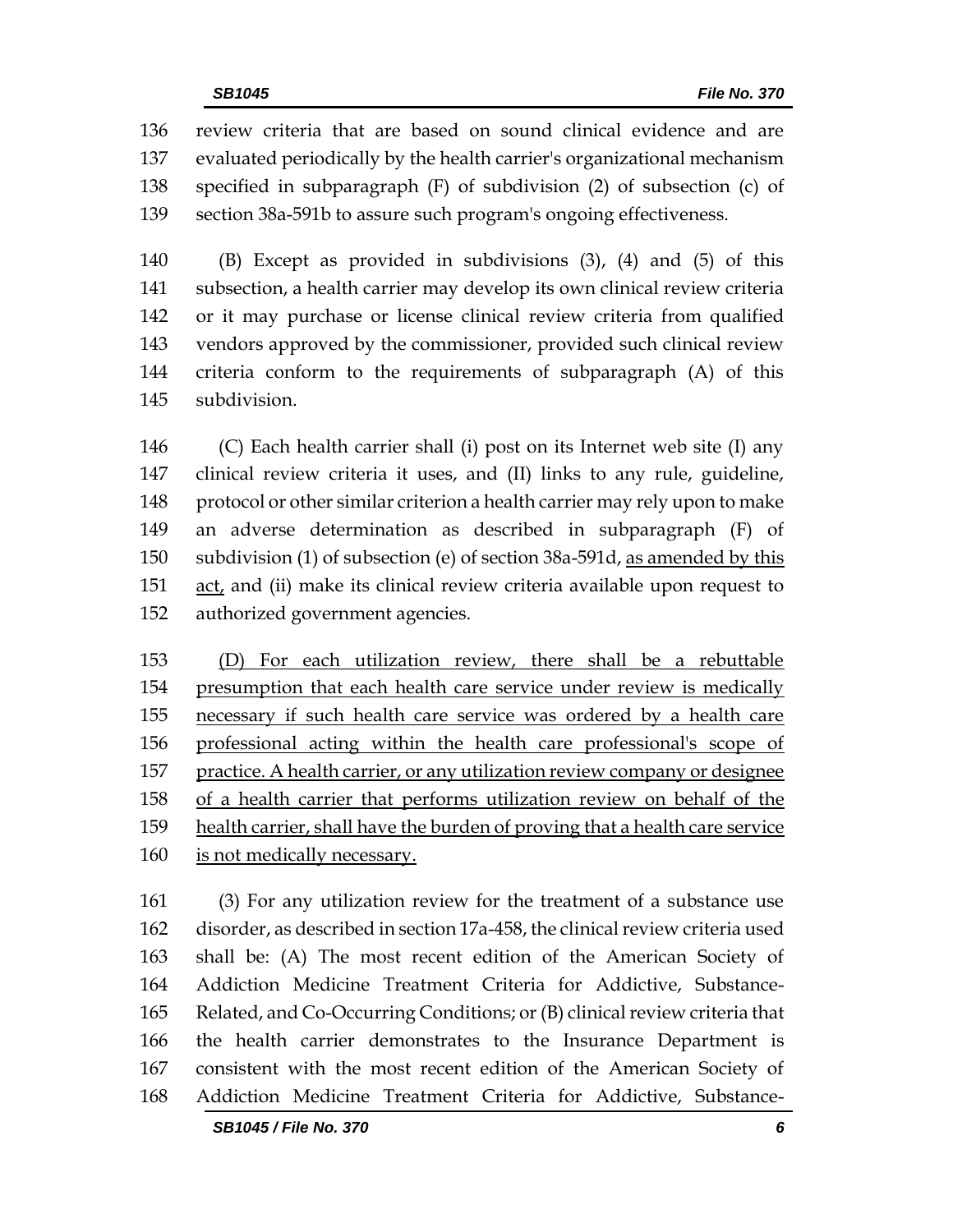review criteria that are based on sound clinical evidence and are evaluated periodically by the health carrier's organizational mechanism specified in subparagraph (F) of subdivision (2) of subsection (c) of section 38a-591b to assure such program's ongoing effectiveness.

 (B) Except as provided in subdivisions (3), (4) and (5) of this subsection, a health carrier may develop its own clinical review criteria or it may purchase or license clinical review criteria from qualified vendors approved by the commissioner, provided such clinical review criteria conform to the requirements of subparagraph (A) of this subdivision.

 (C) Each health carrier shall (i) post on its Internet web site (I) any clinical review criteria it uses, and (II) links to any rule, guideline, protocol or other similar criterion a health carrier may rely upon to make an adverse determination as described in subparagraph (F) of subdivision (1) of subsection (e) of section 38a-591d, as amended by this act, and (ii) make its clinical review criteria available upon request to authorized government agencies.

 (D) For each utilization review, there shall be a rebuttable presumption that each health care service under review is medically necessary if such health care service was ordered by a health care professional acting within the health care professional's scope of practice. A health carrier, or any utilization review company or designee of a health carrier that performs utilization review on behalf of the health carrier, shall have the burden of proving that a health care service is not medically necessary.

 (3) For any utilization review for the treatment of a substance use disorder, as described in section 17a-458, the clinical review criteria used shall be: (A) The most recent edition of the American Society of Addiction Medicine Treatment Criteria for Addictive, Substance- Related, and Co-Occurring Conditions; or (B) clinical review criteria that the health carrier demonstrates to the Insurance Department is consistent with the most recent edition of the American Society of Addiction Medicine Treatment Criteria for Addictive, Substance-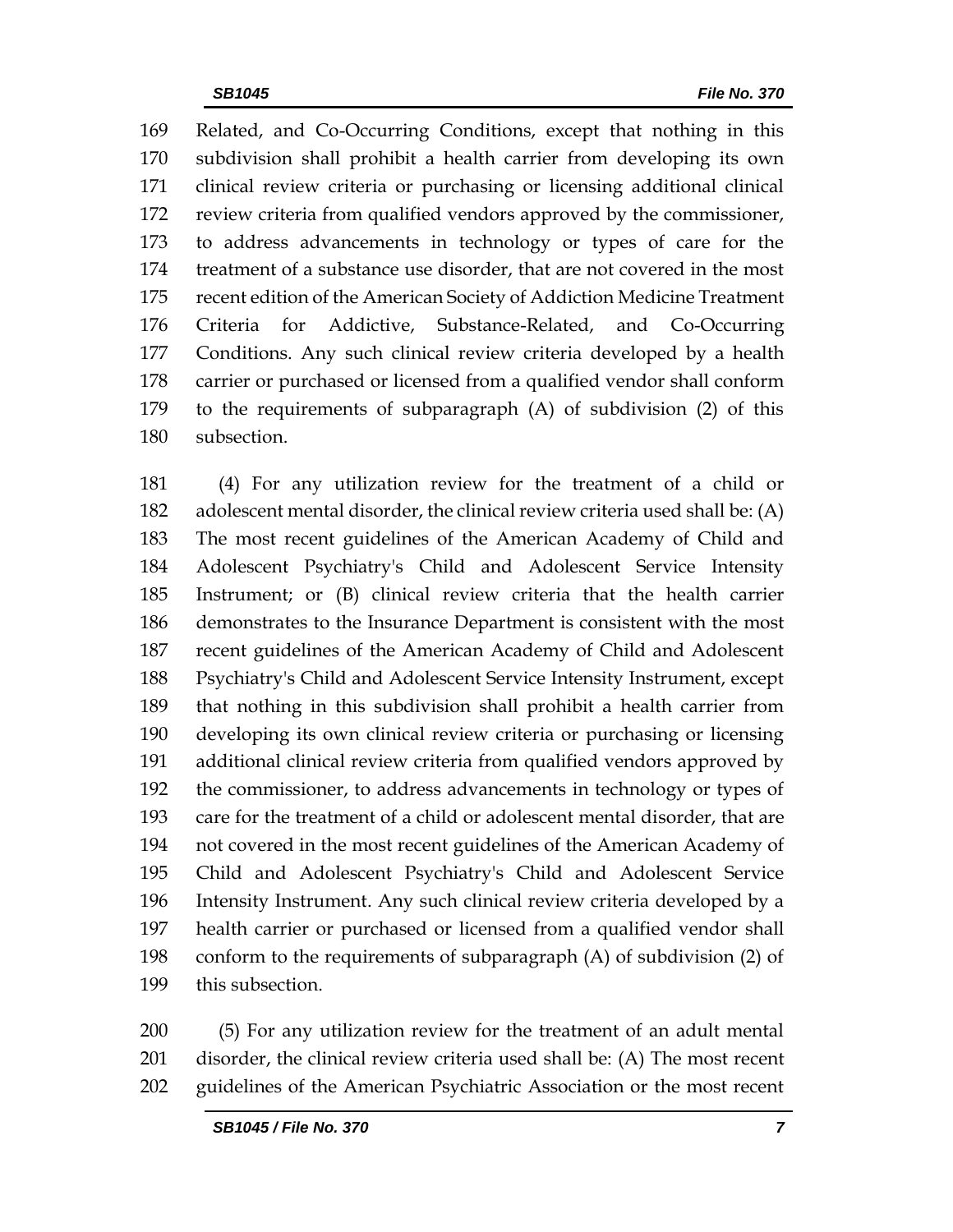Related, and Co-Occurring Conditions, except that nothing in this subdivision shall prohibit a health carrier from developing its own clinical review criteria or purchasing or licensing additional clinical review criteria from qualified vendors approved by the commissioner, to address advancements in technology or types of care for the treatment of a substance use disorder, that are not covered in the most recent edition of the American Society of Addiction Medicine Treatment Criteria for Addictive, Substance-Related, and Co-Occurring Conditions. Any such clinical review criteria developed by a health carrier or purchased or licensed from a qualified vendor shall conform to the requirements of subparagraph (A) of subdivision (2) of this subsection.

 (4) For any utilization review for the treatment of a child or adolescent mental disorder, the clinical review criteria used shall be: (A) The most recent guidelines of the American Academy of Child and Adolescent Psychiatry's Child and Adolescent Service Intensity Instrument; or (B) clinical review criteria that the health carrier demonstrates to the Insurance Department is consistent with the most recent guidelines of the American Academy of Child and Adolescent Psychiatry's Child and Adolescent Service Intensity Instrument, except that nothing in this subdivision shall prohibit a health carrier from developing its own clinical review criteria or purchasing or licensing additional clinical review criteria from qualified vendors approved by the commissioner, to address advancements in technology or types of care for the treatment of a child or adolescent mental disorder, that are not covered in the most recent guidelines of the American Academy of Child and Adolescent Psychiatry's Child and Adolescent Service Intensity Instrument. Any such clinical review criteria developed by a health carrier or purchased or licensed from a qualified vendor shall conform to the requirements of subparagraph (A) of subdivision (2) of this subsection.

 (5) For any utilization review for the treatment of an adult mental disorder, the clinical review criteria used shall be: (A) The most recent guidelines of the American Psychiatric Association or the most recent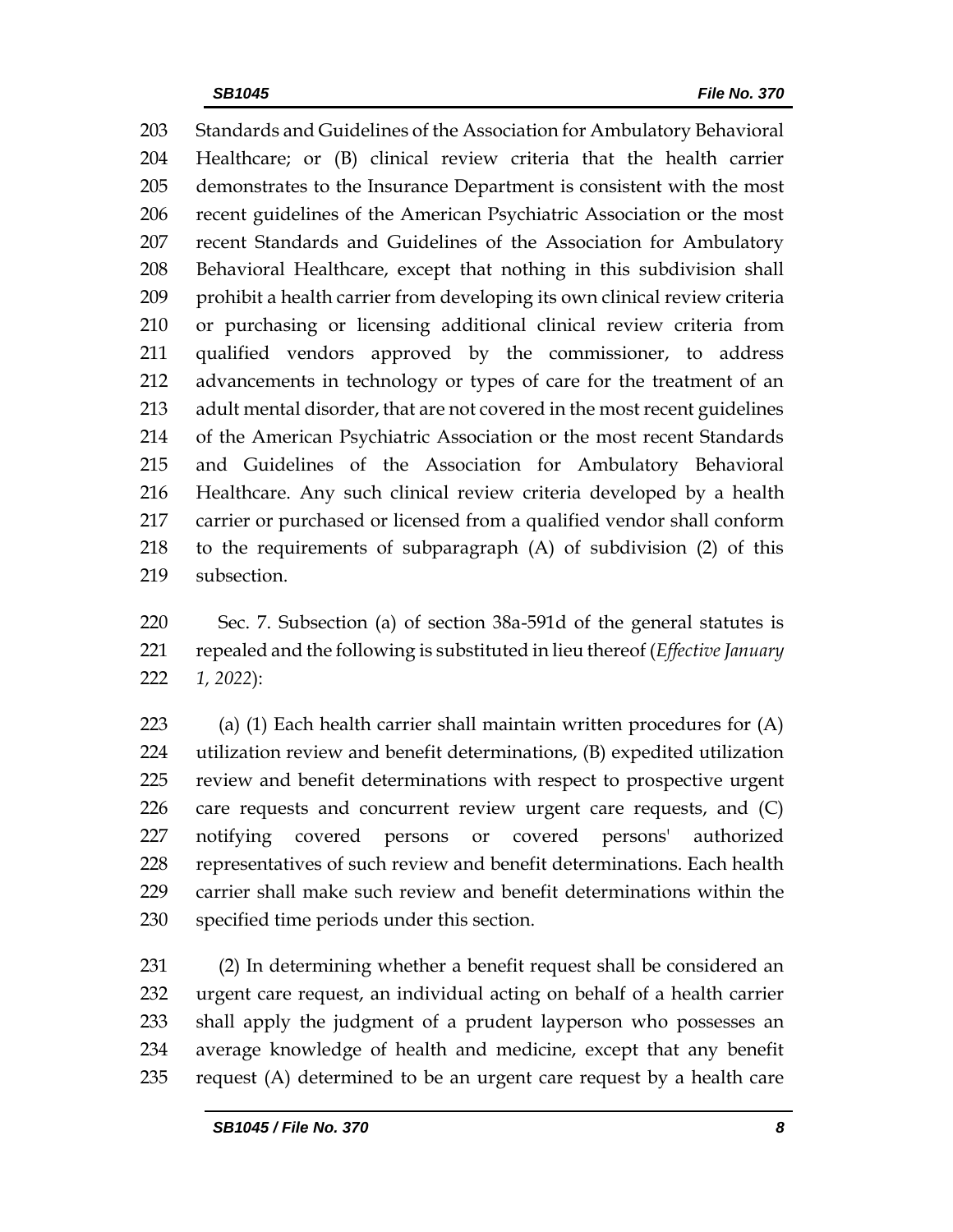Standards and Guidelines of the Association for Ambulatory Behavioral Healthcare; or (B) clinical review criteria that the health carrier demonstrates to the Insurance Department is consistent with the most recent guidelines of the American Psychiatric Association or the most recent Standards and Guidelines of the Association for Ambulatory Behavioral Healthcare, except that nothing in this subdivision shall prohibit a health carrier from developing its own clinical review criteria or purchasing or licensing additional clinical review criteria from qualified vendors approved by the commissioner, to address advancements in technology or types of care for the treatment of an adult mental disorder, that are not covered in the most recent guidelines of the American Psychiatric Association or the most recent Standards and Guidelines of the Association for Ambulatory Behavioral Healthcare. Any such clinical review criteria developed by a health carrier or purchased or licensed from a qualified vendor shall conform to the requirements of subparagraph (A) of subdivision (2) of this subsection.

 Sec. 7. Subsection (a) of section 38a-591d of the general statutes is repealed and the following is substituted in lieu thereof (*Effective January 1, 2022*):

 (a) (1) Each health carrier shall maintain written procedures for (A) utilization review and benefit determinations, (B) expedited utilization review and benefit determinations with respect to prospective urgent care requests and concurrent review urgent care requests, and (C) notifying covered persons or covered persons' authorized representatives of such review and benefit determinations. Each health carrier shall make such review and benefit determinations within the specified time periods under this section.

 (2) In determining whether a benefit request shall be considered an urgent care request, an individual acting on behalf of a health carrier shall apply the judgment of a prudent layperson who possesses an average knowledge of health and medicine, except that any benefit request (A) determined to be an urgent care request by a health care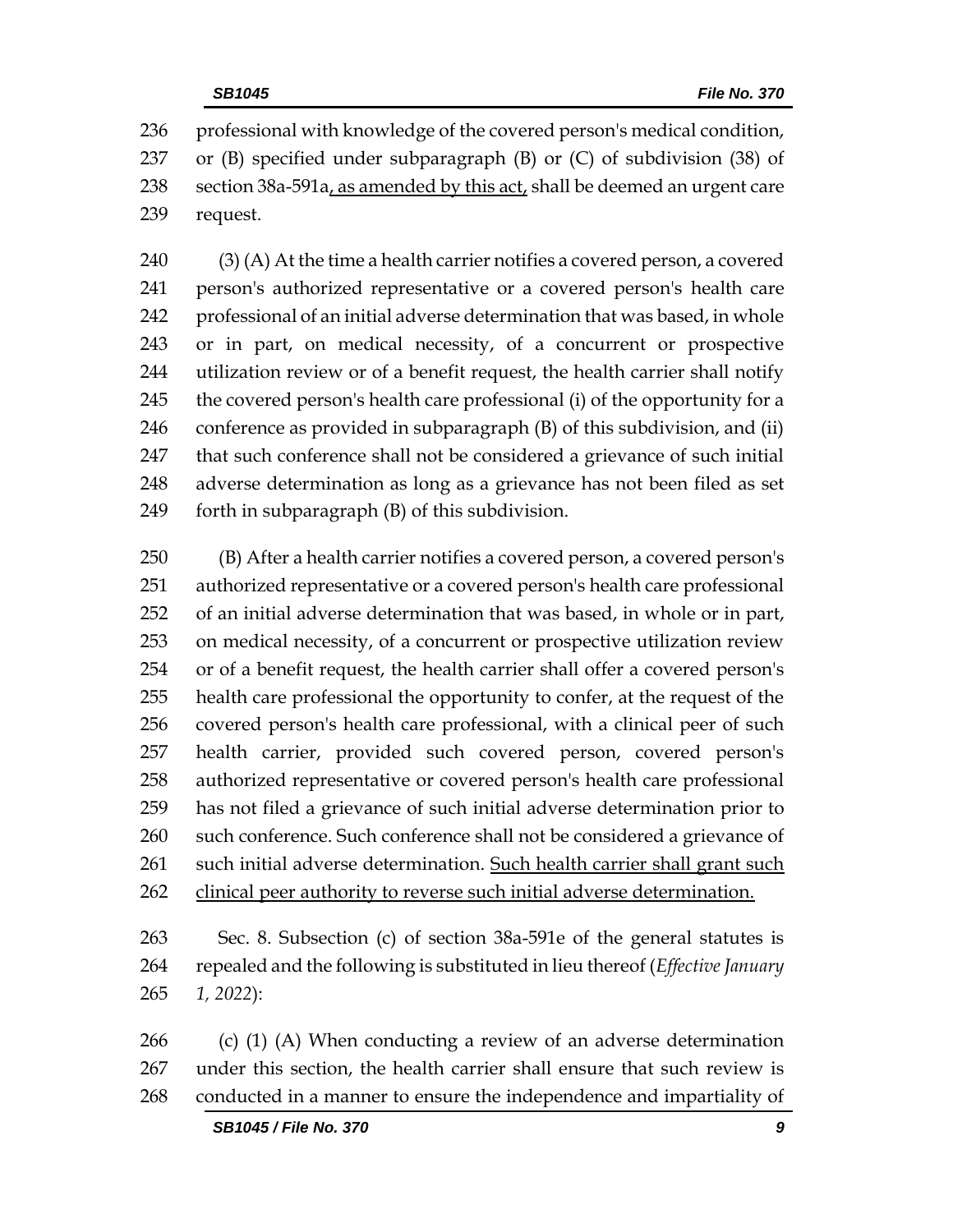professional with knowledge of the covered person's medical condition, or (B) specified under subparagraph (B) or (C) of subdivision (38) of section 38a-591a, as amended by this act, shall be deemed an urgent care request.

 (3) (A) At the time a health carrier notifies a covered person, a covered person's authorized representative or a covered person's health care professional of an initial adverse determination that was based, in whole or in part, on medical necessity, of a concurrent or prospective utilization review or of a benefit request, the health carrier shall notify 245 the covered person's health care professional (i) of the opportunity for a conference as provided in subparagraph (B) of this subdivision, and (ii) that such conference shall not be considered a grievance of such initial adverse determination as long as a grievance has not been filed as set forth in subparagraph (B) of this subdivision.

 (B) After a health carrier notifies a covered person, a covered person's authorized representative or a covered person's health care professional of an initial adverse determination that was based, in whole or in part, on medical necessity, of a concurrent or prospective utilization review or of a benefit request, the health carrier shall offer a covered person's health care professional the opportunity to confer, at the request of the covered person's health care professional, with a clinical peer of such health carrier, provided such covered person, covered person's authorized representative or covered person's health care professional has not filed a grievance of such initial adverse determination prior to 260 such conference. Such conference shall not be considered a grievance of such initial adverse determination. Such health carrier shall grant such 262 clinical peer authority to reverse such initial adverse determination.

 Sec. 8. Subsection (c) of section 38a-591e of the general statutes is repealed and the following is substituted in lieu thereof (*Effective January 1, 2022*):

 (c) (1) (A) When conducting a review of an adverse determination under this section, the health carrier shall ensure that such review is conducted in a manner to ensure the independence and impartiality of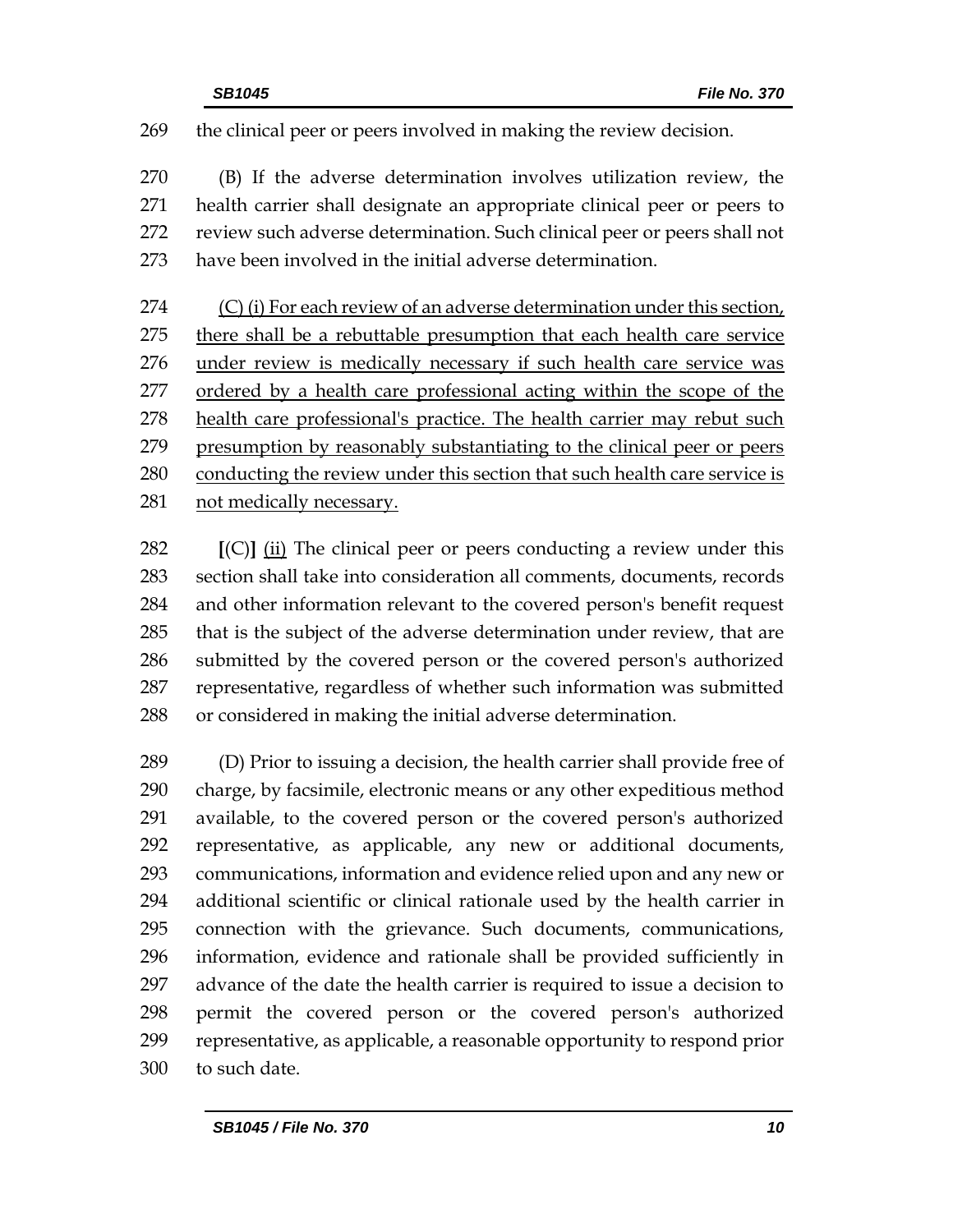the clinical peer or peers involved in making the review decision.

 (B) If the adverse determination involves utilization review, the health carrier shall designate an appropriate clinical peer or peers to review such adverse determination. Such clinical peer or peers shall not have been involved in the initial adverse determination.

274 (C) (i) For each review of an adverse determination under this section, there shall be a rebuttable presumption that each health care service under review is medically necessary if such health care service was 277 ordered by a health care professional acting within the scope of the health care professional's practice. The health carrier may rebut such presumption by reasonably substantiating to the clinical peer or peers conducting the review under this section that such health care service is not medically necessary.

 **[**(C)**]** (ii) The clinical peer or peers conducting a review under this section shall take into consideration all comments, documents, records and other information relevant to the covered person's benefit request that is the subject of the adverse determination under review, that are submitted by the covered person or the covered person's authorized representative, regardless of whether such information was submitted or considered in making the initial adverse determination.

 (D) Prior to issuing a decision, the health carrier shall provide free of charge, by facsimile, electronic means or any other expeditious method available, to the covered person or the covered person's authorized representative, as applicable, any new or additional documents, communications, information and evidence relied upon and any new or additional scientific or clinical rationale used by the health carrier in connection with the grievance. Such documents, communications, information, evidence and rationale shall be provided sufficiently in advance of the date the health carrier is required to issue a decision to permit the covered person or the covered person's authorized representative, as applicable, a reasonable opportunity to respond prior to such date.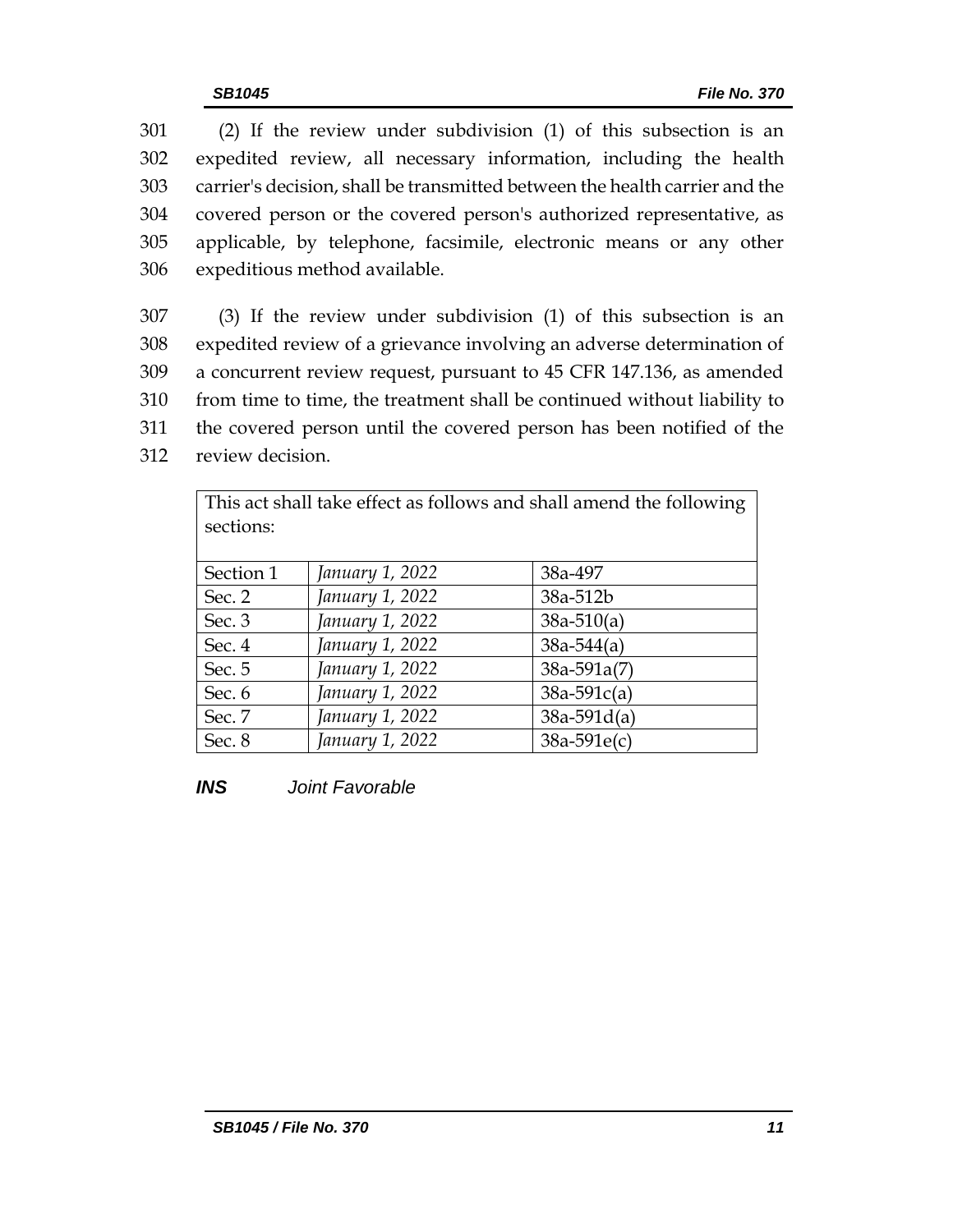(2) If the review under subdivision (1) of this subsection is an expedited review, all necessary information, including the health carrier's decision, shall be transmitted between the health carrier and the covered person or the covered person's authorized representative, as applicable, by telephone, facsimile, electronic means or any other expeditious method available.

 (3) If the review under subdivision (1) of this subsection is an expedited review of a grievance involving an adverse determination of a concurrent review request, pursuant to 45 CFR 147.136, as amended from time to time, the treatment shall be continued without liability to the covered person until the covered person has been notified of the review decision.

| This act shall take effect as follows and shall amend the following<br>sections: |                 |                 |  |  |  |  |  |
|----------------------------------------------------------------------------------|-----------------|-----------------|--|--|--|--|--|
| Section 1                                                                        | January 1, 2022 | 38a-497         |  |  |  |  |  |
| Sec. 2                                                                           | January 1, 2022 | 38a-512b        |  |  |  |  |  |
| Sec. 3                                                                           | January 1, 2022 | $38a-510(a)$    |  |  |  |  |  |
| Sec. 4                                                                           | January 1, 2022 | $38a - 544(a)$  |  |  |  |  |  |
| Sec. 5                                                                           | January 1, 2022 | $38a - 591a(7)$ |  |  |  |  |  |
| Sec. 6                                                                           | January 1, 2022 | $38a-591c(a)$   |  |  |  |  |  |
| Sec. 7                                                                           | January 1, 2022 | $38a - 591d(a)$ |  |  |  |  |  |
| Sec. 8                                                                           | January 1, 2022 | $38a-591e(c)$   |  |  |  |  |  |

*INS Joint Favorable*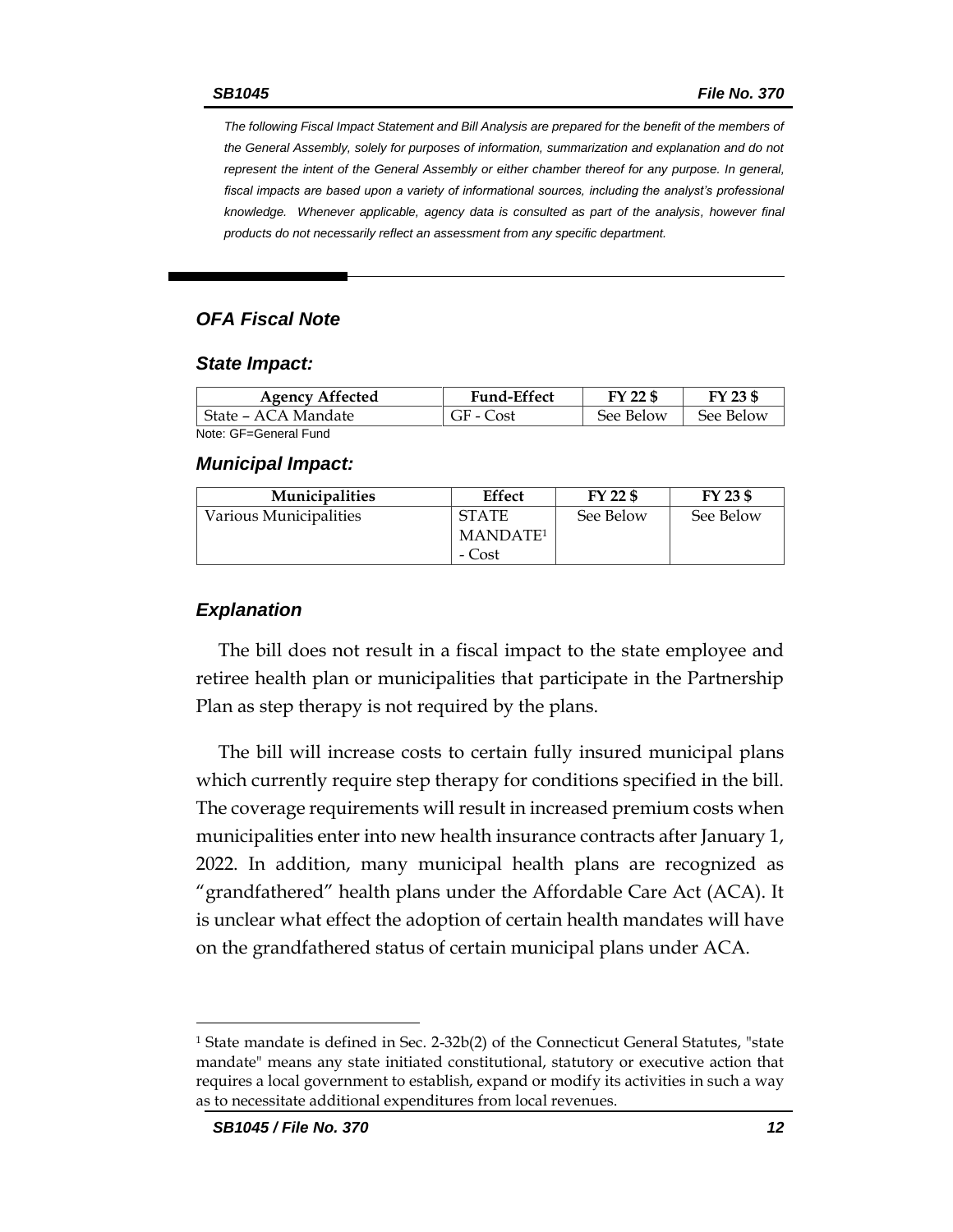*The following Fiscal Impact Statement and Bill Analysis are prepared for the benefit of the members of the General Assembly, solely for purposes of information, summarization and explanation and do not represent the intent of the General Assembly or either chamber thereof for any purpose. In general,*  fiscal impacts are based upon a variety of informational sources, including the analyst's professional *knowledge. Whenever applicable, agency data is consulted as part of the analysis, however final products do not necessarily reflect an assessment from any specific department.*

#### *OFA Fiscal Note*

#### *State Impact:*

| <b>Agency Affected</b> | <b>Fund-Effect</b> | FY 22 \$  | FY 23 \$  |
|------------------------|--------------------|-----------|-----------|
| State – ACA Mandate    | GF - Cost          | See Below | See Below |
| Note: GF=General Fund  |                    |           |           |

#### *Municipal Impact:*

| <b>Municipalities</b>  | Effect               | FY 22 \$  | FY 23 \$  |
|------------------------|----------------------|-----------|-----------|
| Various Municipalities | <b>STATE</b>         | See Below | See Below |
|                        | MANDATE <sup>1</sup> |           |           |
|                        | - Cost               |           |           |

#### *Explanation*

The bill does not result in a fiscal impact to the state employee and retiree health plan or municipalities that participate in the Partnership Plan as step therapy is not required by the plans.

The bill will increase costs to certain fully insured municipal plans which currently require step therapy for conditions specified in the bill. The coverage requirements will result in increased premium costs when municipalities enter into new health insurance contracts after January 1, 2022. In addition, many municipal health plans are recognized as "grandfathered" health plans under the Affordable Care Act (ACA). It is unclear what effect the adoption of certain health mandates will have on the grandfathered status of certain municipal plans under ACA.

 $\overline{a}$ 

<sup>1</sup> State mandate is defined in Sec. 2-32b(2) of the Connecticut General Statutes, "state mandate" means any state initiated constitutional, statutory or executive action that requires a local government to establish, expand or modify its activities in such a way as to necessitate additional expenditures from local revenues.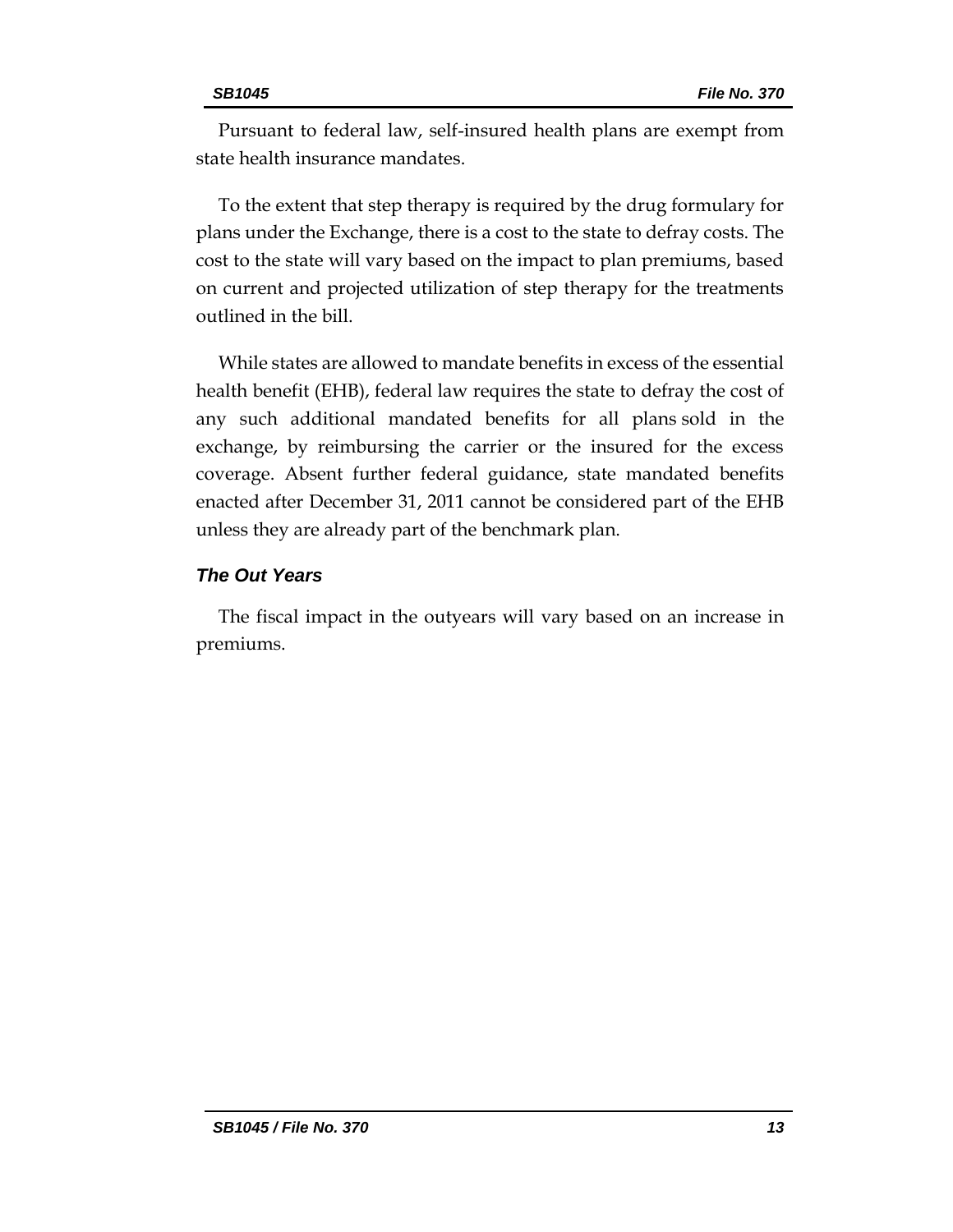Pursuant to federal law, self-insured health plans are exempt from state health insurance mandates.

To the extent that step therapy is required by the drug formulary for plans under the Exchange, there is a cost to the state to defray costs. The cost to the state will vary based on the impact to plan premiums, based on current and projected utilization of step therapy for the treatments outlined in the bill.

While states are allowed to mandate benefits in excess of the essential health benefit (EHB), federal law requires the state to defray the cost of any such additional mandated benefits for all plans sold in the exchange, by reimbursing the carrier or the insured for the excess coverage. Absent further federal guidance, state mandated benefits enacted after December 31, 2011 cannot be considered part of the EHB unless they are already part of the benchmark plan.

#### *The Out Years*

The fiscal impact in the outyears will vary based on an increase in premiums.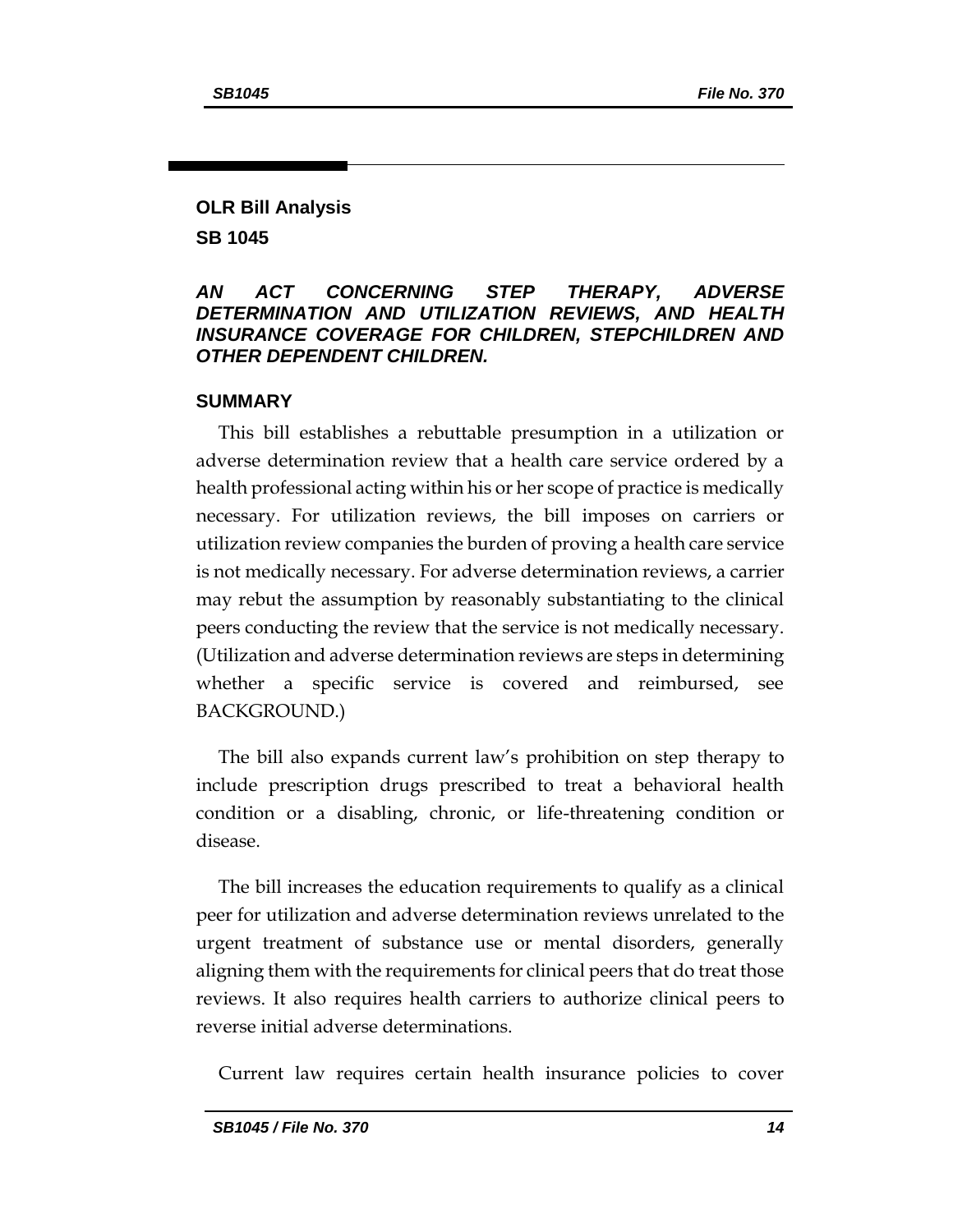#### **OLR Bill Analysis SB 1045**

#### *AN ACT CONCERNING STEP THERAPY, ADVERSE DETERMINATION AND UTILIZATION REVIEWS, AND HEALTH INSURANCE COVERAGE FOR CHILDREN, STEPCHILDREN AND OTHER DEPENDENT CHILDREN.*

#### **SUMMARY**

This bill establishes a rebuttable presumption in a utilization or adverse determination review that a health care service ordered by a health professional acting within his or her scope of practice is medically necessary. For utilization reviews, the bill imposes on carriers or utilization review companies the burden of proving a health care service is not medically necessary. For adverse determination reviews, a carrier may rebut the assumption by reasonably substantiating to the clinical peers conducting the review that the service is not medically necessary. (Utilization and adverse determination reviews are steps in determining whether a specific service is covered and reimbursed, see BACKGROUND.)

The bill also expands current law's prohibition on step therapy to include prescription drugs prescribed to treat a behavioral health condition or a disabling, chronic, or life-threatening condition or disease.

The bill increases the education requirements to qualify as a clinical peer for utilization and adverse determination reviews unrelated to the urgent treatment of substance use or mental disorders, generally aligning them with the requirements for clinical peers that do treat those reviews. It also requires health carriers to authorize clinical peers to reverse initial adverse determinations.

Current law requires certain health insurance policies to cover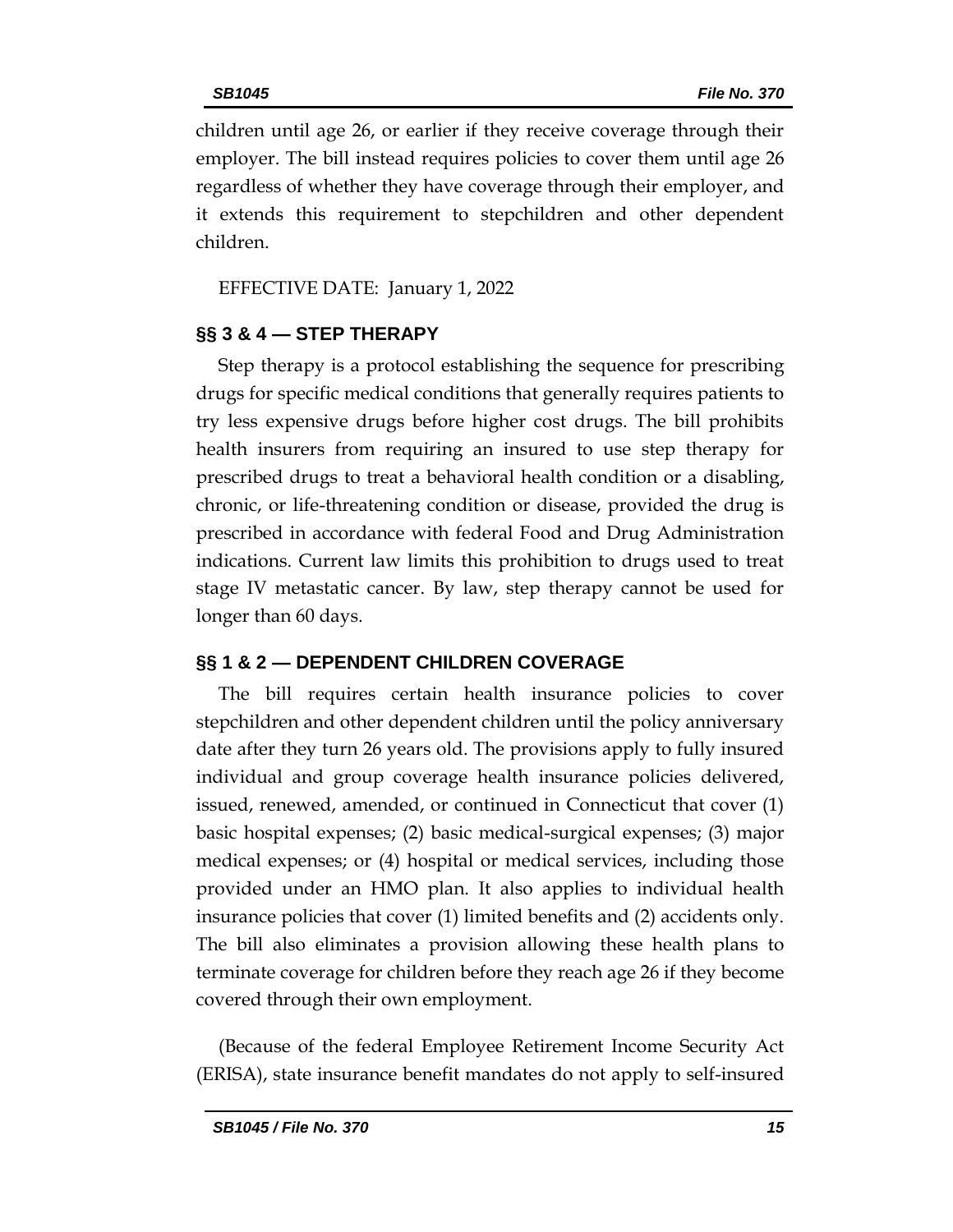children until age 26, or earlier if they receive coverage through their employer. The bill instead requires policies to cover them until age 26 regardless of whether they have coverage through their employer, and it extends this requirement to stepchildren and other dependent children.

EFFECTIVE DATE: January 1, 2022

### **§§ 3 & 4 — STEP THERAPY**

Step therapy is a protocol establishing the sequence for prescribing drugs for specific medical conditions that generally requires patients to try less expensive drugs before higher cost drugs. The bill prohibits health insurers from requiring an insured to use step therapy for prescribed drugs to treat a behavioral health condition or a disabling, chronic, or life-threatening condition or disease, provided the drug is prescribed in accordance with federal Food and Drug Administration indications. Current law limits this prohibition to drugs used to treat stage IV metastatic cancer. By law, step therapy cannot be used for longer than 60 days.

### **§§ 1 & 2 — DEPENDENT CHILDREN COVERAGE**

The bill requires certain health insurance policies to cover stepchildren and other dependent children until the policy anniversary date after they turn 26 years old. The provisions apply to fully insured individual and group coverage health insurance policies delivered, issued, renewed, amended, or continued in Connecticut that cover (1) basic hospital expenses; (2) basic medical-surgical expenses; (3) major medical expenses; or (4) hospital or medical services, including those provided under an HMO plan. It also applies to individual health insurance policies that cover (1) limited benefits and (2) accidents only. The bill also eliminates a provision allowing these health plans to terminate coverage for children before they reach age 26 if they become covered through their own employment.

(Because of the federal Employee Retirement Income Security Act (ERISA), state insurance benefit mandates do not apply to self-insured